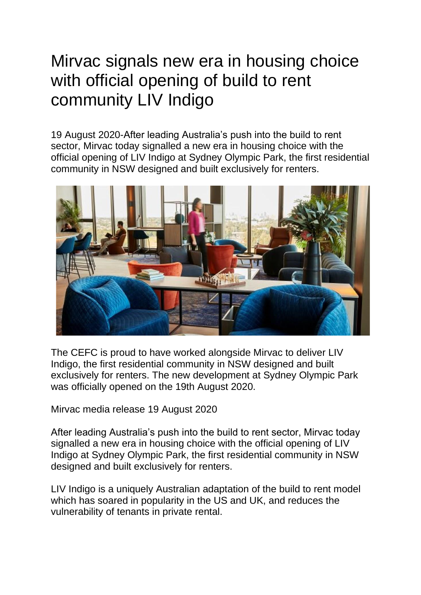## Mirvac signals new era in housing choice with official opening of build to rent community LIV Indigo

19 August 2020-After leading Australia's push into the build to rent sector, Mirvac today signalled a new era in housing choice with the official opening of LIV Indigo at Sydney Olympic Park, the first residential community in NSW designed and built exclusively for renters.



The CEFC is proud to have worked alongside Mirvac to deliver LIV Indigo, the first residential community in NSW designed and built exclusively for renters. The new development at Sydney Olympic Park was officially opened on the 19th August 2020.

Mirvac media release 19 August 2020

After leading Australia's push into the build to rent sector, Mirvac today signalled a new era in housing choice with the official opening of LIV Indigo at Sydney Olympic Park, the first residential community in NSW designed and built exclusively for renters.

LIV Indigo is a uniquely Australian adaptation of the build to rent model which has soared in popularity in the US and UK, and reduces the vulnerability of tenants in private rental.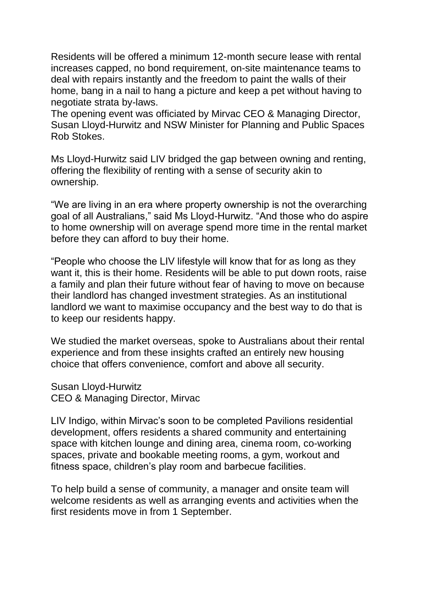Residents will be offered a minimum 12-month secure lease with rental increases capped, no bond requirement, on-site maintenance teams to deal with repairs instantly and the freedom to paint the walls of their home, bang in a nail to hang a picture and keep a pet without having to negotiate strata by-laws.

The opening event was officiated by Mirvac CEO & Managing Director, Susan Lloyd-Hurwitz and NSW Minister for Planning and Public Spaces Rob Stokes.

Ms Lloyd-Hurwitz said LIV bridged the gap between owning and renting, offering the flexibility of renting with a sense of security akin to ownership.

"We are living in an era where property ownership is not the overarching goal of all Australians," said Ms Lloyd-Hurwitz. "And those who do aspire to home ownership will on average spend more time in the rental market before they can afford to buy their home.

"People who choose the LIV lifestyle will know that for as long as they want it, this is their home. Residents will be able to put down roots, raise a family and plan their future without fear of having to move on because their landlord has changed investment strategies. As an institutional landlord we want to maximise occupancy and the best way to do that is to keep our residents happy.

We studied the market overseas, spoke to Australians about their rental experience and from these insights crafted an entirely new housing choice that offers convenience, comfort and above all security.

Susan Lloyd-Hurwitz CEO & Managing Director, Mirvac

LIV Indigo, within Mirvac's soon to be completed Pavilions residential development, offers residents a shared community and entertaining space with kitchen lounge and dining area, cinema room, co-working spaces, private and bookable meeting rooms, a gym, workout and fitness space, children's play room and barbecue facilities.

To help build a sense of community, a manager and onsite team will welcome residents as well as arranging events and activities when the first residents move in from 1 September.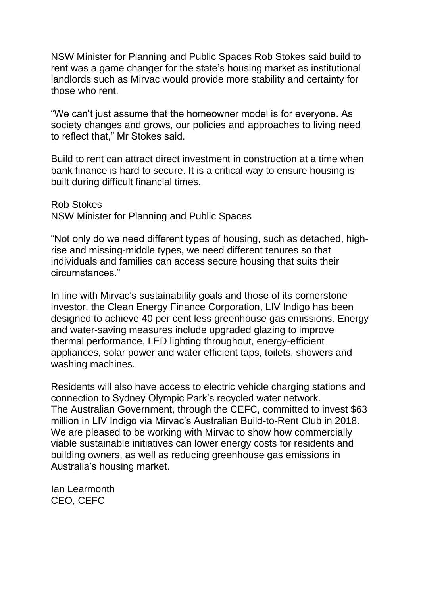NSW Minister for Planning and Public Spaces Rob Stokes said build to rent was a game changer for the state's housing market as institutional landlords such as Mirvac would provide more stability and certainty for those who rent.

"We can't just assume that the homeowner model is for everyone. As society changes and grows, our policies and approaches to living need to reflect that," Mr Stokes said.

Build to rent can attract direct investment in construction at a time when bank finance is hard to secure. It is a critical way to ensure housing is built during difficult financial times.

Rob Stokes NSW Minister for Planning and Public Spaces

"Not only do we need different types of housing, such as detached, highrise and missing-middle types, we need different tenures so that individuals and families can access secure housing that suits their circumstances."

In line with Mirvac's sustainability goals and those of its cornerstone investor, the Clean Energy Finance Corporation, LIV Indigo has been designed to achieve 40 per cent less greenhouse gas emissions. Energy and water-saving measures include upgraded glazing to improve thermal performance, LED lighting throughout, energy-efficient appliances, solar power and water efficient taps, toilets, showers and washing machines.

Residents will also have access to electric vehicle charging stations and connection to Sydney Olympic Park's recycled water network. The Australian Government, through the CEFC, committed to invest \$63 million in LIV Indigo via Mirvac's Australian Build-to-Rent Club in 2018. We are pleased to be working with Mirvac to show how commercially viable sustainable initiatives can lower energy costs for residents and building owners, as well as reducing greenhouse gas emissions in Australia's housing market.

Ian Learmonth CEO, CEFC